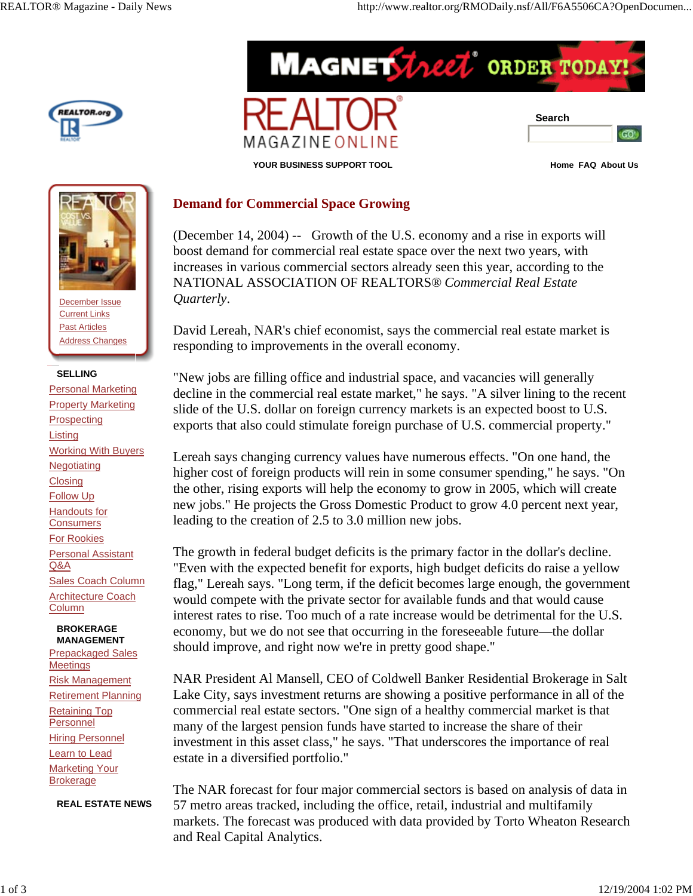





MAGAZINE ONLI



December Issue Current Links Past Articles Address Changes

## **SELLING**

Personal Marketing **Property Marketing Prospecting Listing** Working With Buyers **Negotiating Closing** Follow Up Handouts for **Consumers** For Rookies Personal Assistant Q&A Sales Coach Column Architecture Coach Column

 **BROKERAGE MANAGEMENT** Prepackaged Sales

Meetings Risk Management Retirement Planning Retaining Top Personnel **Hiring Personnel** Learn to Lead **Marketing Your** Brokerage

**REAL ESTATE NEWS**

## **Demand for Commercial Space Growing**

(December 14, 2004) -- Growth of the U.S. economy and a rise in exports will boost demand for commercial real estate space over the next two years, with increases in various commercial sectors already seen this year, according to the NATIONAL ASSOCIATION OF REALTORS® *Commercial Real Estate Quarterly*.

**MAGNET Theet** ORDER TODA

David Lereah, NAR's chief economist, says the commercial real estate market is responding to improvements in the overall economy.

"New jobs are filling office and industrial space, and vacancies will generally decline in the commercial real estate market," he says. "A silver lining to the recent slide of the U.S. dollar on foreign currency markets is an expected boost to U.S. exports that also could stimulate foreign purchase of U.S. commercial property."

Lereah says changing currency values have numerous effects. "On one hand, the higher cost of foreign products will rein in some consumer spending," he says. "On the other, rising exports will help the economy to grow in 2005, which will create new jobs." He projects the Gross Domestic Product to grow 4.0 percent next year, leading to the creation of 2.5 to 3.0 million new jobs.

The growth in federal budget deficits is the primary factor in the dollar's decline. "Even with the expected benefit for exports, high budget deficits do raise a yellow flag," Lereah says. "Long term, if the deficit becomes large enough, the government would compete with the private sector for available funds and that would cause interest rates to rise. Too much of a rate increase would be detrimental for the U.S. economy, but we do not see that occurring in the foreseeable future—the dollar should improve, and right now we're in pretty good shape."

NAR President Al Mansell, CEO of Coldwell Banker Residential Brokerage in Salt Lake City, says investment returns are showing a positive performance in all of the commercial real estate sectors. "One sign of a healthy commercial market is that many of the largest pension funds have started to increase the share of their investment in this asset class," he says. "That underscores the importance of real estate in a diversified portfolio."

The NAR forecast for four major commercial sectors is based on analysis of data in 57 metro areas tracked, including the office, retail, industrial and multifamily markets. The forecast was produced with data provided by Torto Wheaton Research and Real Capital Analytics.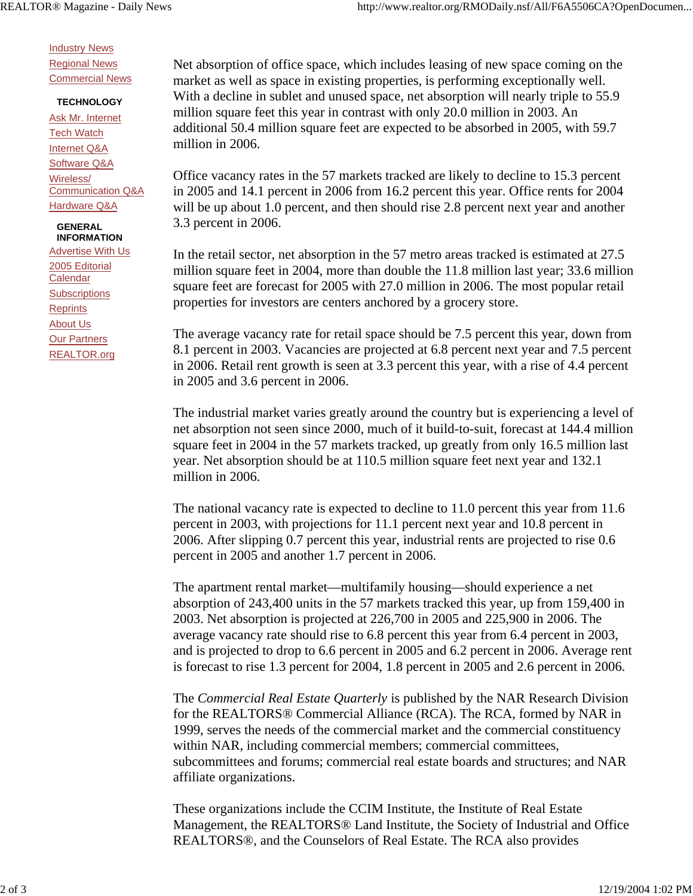Industry News Regional News Commercial News

## **TECHNOLOGY**

Ask Mr. Internet Tech Watch Internet Q&A Software Q&A Wireless/ Communication Q&A Hardware Q&A

## **GENERAL INFORMATION**

Advertise With Us 2005 Editorial **Calendar Subscriptions Reprints** About Us Our Partners REALTOR.org

Net absorption of office space, which includes leasing of new space coming on the market as well as space in existing properties, is performing exceptionally well. With a decline in sublet and unused space, net absorption will nearly triple to 55.9 million square feet this year in contrast with only 20.0 million in 2003. An additional 50.4 million square feet are expected to be absorbed in 2005, with 59.7 million in 2006.

Office vacancy rates in the 57 markets tracked are likely to decline to 15.3 percent in 2005 and 14.1 percent in 2006 from 16.2 percent this year. Office rents for 2004 will be up about 1.0 percent, and then should rise 2.8 percent next year and another 3.3 percent in 2006.

In the retail sector, net absorption in the 57 metro areas tracked is estimated at 27.5 million square feet in 2004, more than double the 11.8 million last year; 33.6 million square feet are forecast for 2005 with 27.0 million in 2006. The most popular retail properties for investors are centers anchored by a grocery store.

The average vacancy rate for retail space should be 7.5 percent this year, down from 8.1 percent in 2003. Vacancies are projected at 6.8 percent next year and 7.5 percent in 2006. Retail rent growth is seen at 3.3 percent this year, with a rise of 4.4 percent in 2005 and 3.6 percent in 2006.

The industrial market varies greatly around the country but is experiencing a level of net absorption not seen since 2000, much of it build-to-suit, forecast at 144.4 million square feet in 2004 in the 57 markets tracked, up greatly from only 16.5 million last year. Net absorption should be at 110.5 million square feet next year and 132.1 million in 2006.

The national vacancy rate is expected to decline to 11.0 percent this year from 11.6 percent in 2003, with projections for 11.1 percent next year and 10.8 percent in 2006. After slipping 0.7 percent this year, industrial rents are projected to rise 0.6 percent in 2005 and another 1.7 percent in 2006.

The apartment rental market—multifamily housing—should experience a net absorption of 243,400 units in the 57 markets tracked this year, up from 159,400 in 2003. Net absorption is projected at 226,700 in 2005 and 225,900 in 2006. The average vacancy rate should rise to 6.8 percent this year from 6.4 percent in 2003, and is projected to drop to 6.6 percent in 2005 and 6.2 percent in 2006. Average rent is forecast to rise 1.3 percent for 2004, 1.8 percent in 2005 and 2.6 percent in 2006.

The *Commercial Real Estate Quarterly* is published by the NAR Research Division for the REALTORS® Commercial Alliance (RCA). The RCA, formed by NAR in 1999, serves the needs of the commercial market and the commercial constituency within NAR, including commercial members; commercial committees, subcommittees and forums; commercial real estate boards and structures; and NAR affiliate organizations.

These organizations include the CCIM Institute, the Institute of Real Estate Management, the REALTORS® Land Institute, the Society of Industrial and Office REALTORS®, and the Counselors of Real Estate. The RCA also provides